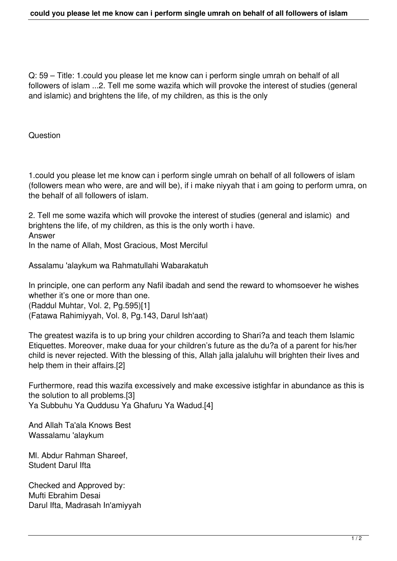Q: 59 – Title: 1.could you please let me know can i perform single umrah on behalf of all followers of islam ...2. Tell me some wazifa which will provoke the interest of studies (general and islamic) and brightens the life, of my children, as this is the only

Question

1.could you please let me know can i perform single umrah on behalf of all followers of islam (followers mean who were, are and will be), if i make niyyah that i am going to perform umra, on the behalf of all followers of islam.

2. Tell me some wazifa which will provoke the interest of studies (general and islamic) and brightens the life, of my children, as this is the only worth i have. Answer In the name of Allah, Most Gracious, Most Merciful

Assalamu 'alaykum wa Rahmatullahi Wabarakatuh

In principle, one can perform any Nafil ibadah and send the reward to whomsoever he wishes whether it's one or more than one.

(Raddul Muhtar, Vol. 2, Pg.595)[1]

(Fatawa Rahimiyyah, Vol. 8, Pg.143, Darul Ish'aat)

The greatest wazifa is to up bring your children according to Shari?a and teach them Islamic Etiquettes. Moreover, make duaa for your children's future as the du?a of a parent for his/her child is never rejected. With the blessing of this, Allah jalla jalaluhu will brighten their lives and help them in their affairs.[2]

Furthermore, read this wazifa excessively and make excessive istighfar in abundance as this is the solution to all problems.[3] Ya Subbuhu Ya Quddusu Ya Ghafuru Ya Wadud.[4]

And Allah Ta'ala Knows Best Wassalamu 'alaykum

Ml. Abdur Rahman Shareef, Student Darul Ifta

Checked and Approved by: Mufti Ebrahim Desai Darul Ifta, Madrasah In'amiyyah